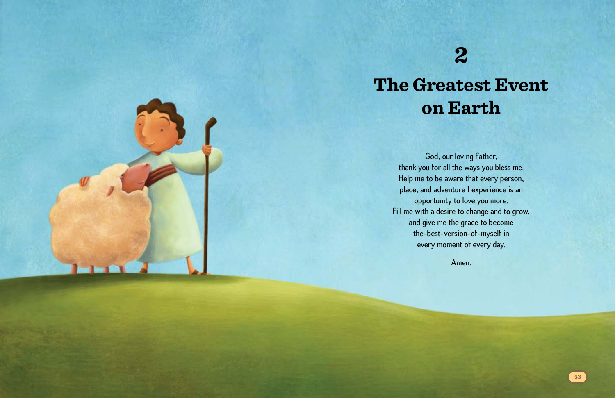# **The Greatest Event on Earth 2**

God, our loving Father, thank you for all the ways you bless me. Help me to be aware that every person, place, and adventure I experience is an opportunity to love you more. Fill me with a desire to change and to grow, and give me the grace to become the-best-version-of-myself in every moment of every day.



Amen.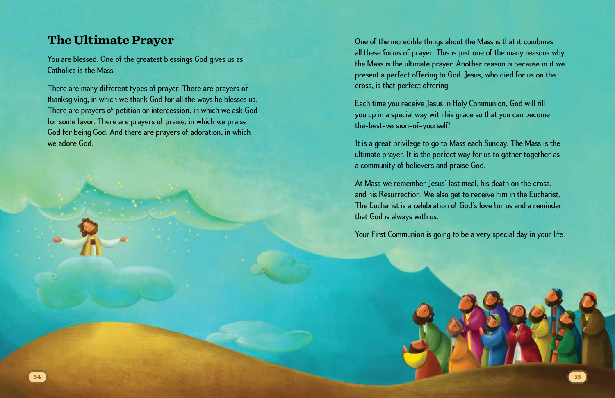### **The Ultimate Prayer**

You are blessed. One of the greatest blessings God gives us as Catholics is the Mass.

There are many different types of prayer. There are prayers of thanksgiving, in which we thank God for all the ways he blesses us. There are prayers of petition or intercession, in which we ask God for some favor. There are prayers of praise, in which we praise God for being God. And there are prayers of adoration, in which we adore God.

One of the incredible things about the Mass is that it combines all these forms of prayer. This is just one of the many reasons why the Mass is the ultimate prayer. Another reason is because in it we present a perfect offering to God. Jesus, who died for us on the cross, is that perfect offering.

Each time you receive Jesus in Holy Communion, God will fill you up in a special way with his grace so that you can become the-best-version-of-yourself!

It is a great privilege to go to Mass each Sunday. The Mass is the ultimate prayer. It is the perfect way for us to gather together as a community of believers and praise God.

At Mass we remember Jesus' last meal, his death on the cross, and his Resurrection. We also get to receive him in the Eucharist. The Eucharist is a celebration of God's love for us and a reminder that God is always with us.

Your First Communion is going to be a very special day in your life.

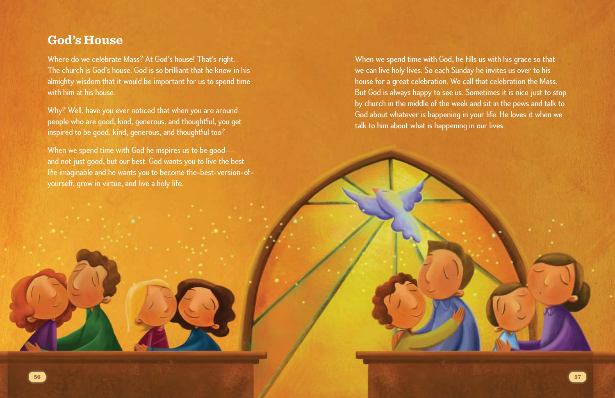#### **God's House**

Where do we celebrate Mass? At God's house! That's right. The church is God's house. God is so brilliant that he knew in his almighty wisdom that it would be important for us to spend time with him at his house.

Why? Well, have you ever noticed that when you are around people who are good, kind, generous, and thoughtful, you get inspired to be good, kind, generous, and thoughtful too?

When we spend time with God he inspires us to be goodand not just good, but our best. God wants you to live the best life imaginable and he wants you to become the-best-version-ofyourself, grow in virtue, and live a holy life.

When we spend time with God, he fills us with his grace so that we can live holy lives. So each Sunday he invites us over to his house for a great celebration. We call that celebration the Mass. But God is always happy to see us. Sometimes it is nice just to stop by church in the middle of the week and sit in the pews and talk to God about whatever is happening in your life. He loves it when we talk to him about what is happening in our lives.

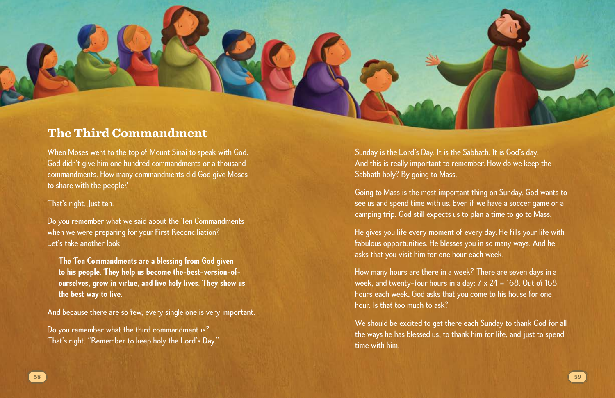#### **The Third Commandment**

When Moses went to the top of Mount Sinai to speak with God, God didn't give him one hundred commandments or a thousand commandments. How many commandments did God give Moses to share with the people?

#### That's right. Just ten.

Do you remember what we said about the Ten Commandments when we were preparing for your First Reconciliation? Let's take another look.

**The Ten Commandments are a blessing from God given to his people. They help us become the-best-version-ofourselves, grow in virtue, and live holy lives. They show us the best way to live.** 

And because there are so few, every single one is very important.

Do you remember what the third commandment is? That's right. "Remember to keep holy the Lord's Day." Sunday is the Lord's Day. It is the Sabbath. It is God's day. And this is really important to remember. How do we keep the Sabbath holy? By going to Mass.

Going to Mass is the most important thing on Sunday. God wants to see us and spend time with us. Even if we have a soccer game or a camping trip, God still expects us to plan a time to go to Mass.

He gives you life every moment of every day. He fills your life with fabulous opportunities. He blesses you in so many ways. And he asks that you visit him for one hour each week.

How many hours are there in a week? There are seven days in a week, and twenty-four hours in a day:  $7 \times 24 = 168$ . Out of  $168$ hours each week, God asks that you come to his house for one hour. Is that too much to ask?

We should be excited to get there each Sunday to thank God for all the ways he has blessed us, to thank him for life, and just to spend time with him.

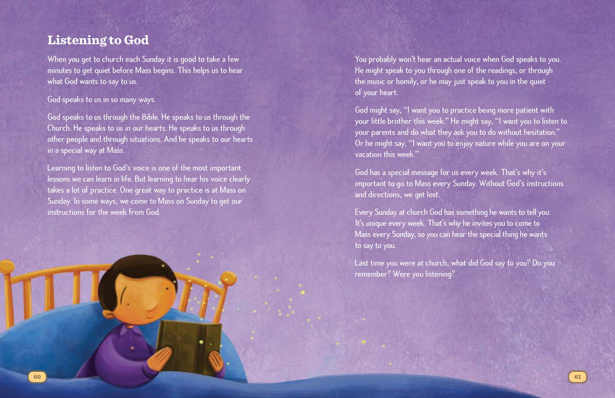### **Listening to God**

When you get to church each Sunday it is good to take a few minutes to get quiet before Mass begins. This helps us to hear what God wants to say to us.

God speaks to us in so many ways.

God speaks to us through the Bible. He speaks to us through the Church. He speaks to us in our hearts. He speaks to us through other people and through situations. And he speaks to our hearts in a special way at Mass.

Learning to listen to God's voice is one of the most important lessons we can learn in life. But learning to hear his voice clearly takes a lot of practice. One great way to practice is at Mass on Sunday. In some ways, we come to Mass on Sunday to get our instructions for the week from God.

God has a special message for us every week. That's why it's important to go to Mass every Sunday. Without God's instructions and directions, we get lost.

You probably won't hear an actual voice when God speaks to you. He might speak to you through one of the readings, or through the music or homily, or he may just speak to you in the quiet of your heart.

God might say, "I want you to practice being more patient with your little brother this week." He might say, "I want you to listen to your parents and do what they ask you to do without hesitation." Or he might say, "I want you to enjoy nature while you are on your vacation this week."

Every Sunday at church God has something he wants to tell you. It's unique every week. That's why he invites you to come to Mass every Sunday, so you can hear the special thing he wants to say to you.

Last time you were at church, what did God say to you? Do you remember? Were you listening?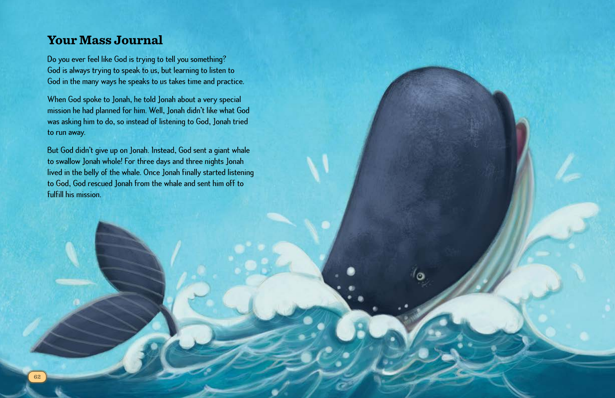#### **Your Mass Journal**

Do you ever feel like God is trying to tell you something? God is always trying to speak to us, but learning to listen to God in the many ways he speaks to us takes time and practice.

When God spoke to Jonah, he told Jonah about a very special mission he had planned for him. Well, Jonah didn't like what God was asking him to do, so instead of listening to God, Jonah tried to run away.

But God didn't give up on Jonah. Instead, God sent a giant whale to swallow Jonah whole! For three days and three nights Jonah lived in the belly of the whale. Once Jonah finally started listening to God, God rescued Jonah from the whale and sent him off to fulfill his mission.

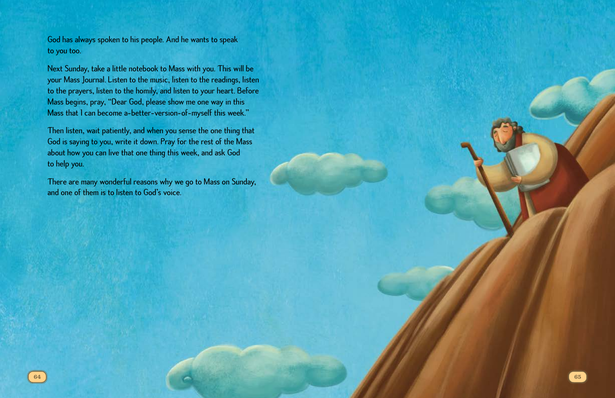God has always spoken to his people. And he wants to speak to you too.

Next Sunday, take a little notebook to Mass with you. This will be your Mass Journal. Listen to the music, listen to the readings, listen to the prayers, listen to the homily, and listen to your heart. Before Mass begins, pray, "Dear God, please show me one way in this Mass that I can become a-better-version-of-myself this week."

Then listen, wait patiently, and when you sense the one thing that God is saying to you, write it down. Pray for the rest of the Mass about how you can live that one thing this week, and ask God to help you.

There are many wonderful reasons why we go to Mass on Sunday, and one of them is to listen to God's voice.

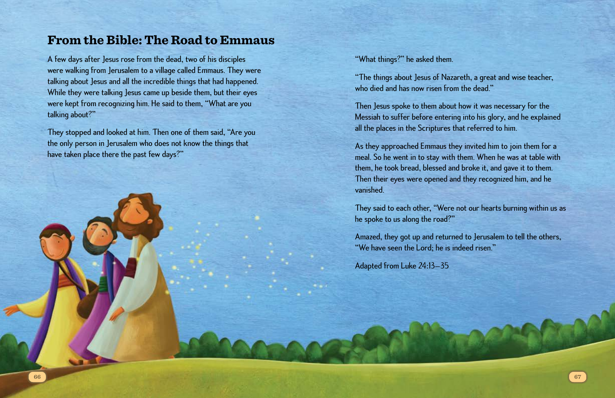#### **From the Bible: The Road to Emmaus**

A few days after Jesus rose from the dead, two of his disciples were walking from Jerusalem to a village called Emmaus. They were talking about Jesus and all the incredible things that had happened. While they were talking Jesus came up beside them, but their eyes were kept from recognizing him. He said to them, "What are you talking about?"

"The things about Jesus of Nazareth, a great and wise teacher, who died and has now risen from the dead."

They stopped and looked at him. Then one of them said, "Are you the only person in Jerusalem who does not know the things that have taken place there the past few days?"

"What things?" he asked them.

Then Jesus spoke to them about how it was necessary for the Messiah to suffer before entering into his glory, and he explained all the places in the Scriptures that referred to him.

As they approached Emmaus they invited him to join them for a meal. So he went in to stay with them. When he was at table with them, he took bread, blessed and broke it, and gave it to them. Then their eyes were opened and they recognized him, and he vanished.

They said to each other, "Were not our hearts burning within us as he spoke to us along the road?"

Amazed, they got up and returned to Jerusalem to tell the others, "We have seen the Lord; he is indeed risen."

Adapted from Luke 24:13–35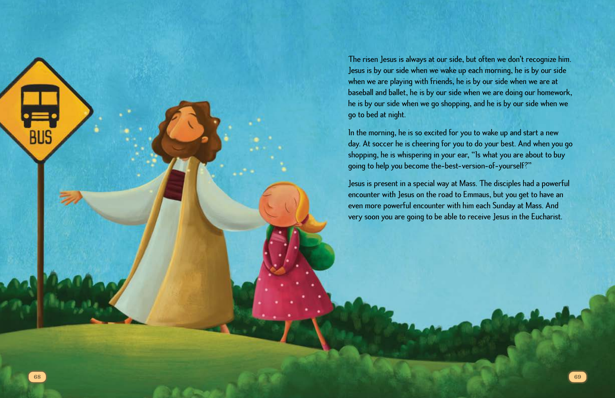**BUS** 

The risen Jesus is always at our side, but often we don't recognize him. Jesus is by our side when we wake up each morning, he is by our side when we are playing with friends, he is by our side when we are at baseball and ballet, he is by our side when we are doing our homework, he is by our side when we go shopping, and he is by our side when we go to bed at night.

In the morning, he is so excited for you to wake up and start a new day. At soccer he is cheering for you to do your best. And when you go shopping, he is whispering in your ear, "Is what you are about to buy going to help you become the-best-version-of-yourself?"

Jesus is present in a special way at Mass. The disciples had a powerful encounter with Jesus on the road to Emmaus, but you get to have an even more powerful encounter with him each Sunday at Mass. And very soon you are going to be able to receive Jesus in the Eucharist.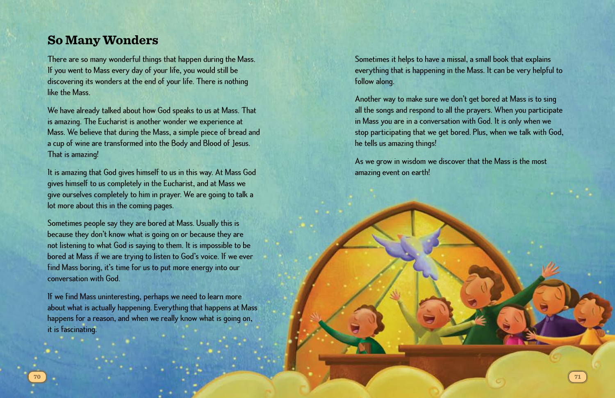#### **So Many Wonders**

There are so many wonderful things that happen during the Mass. If you went to Mass every day of your life, you would still be discovering its wonders at the end of your life. There is nothing like the Mass.

We have already talked about how God speaks to us at Mass. That is amazing. The Eucharist is another wonder we experience at Mass. We believe that during the Mass, a simple piece of bread and a cup of wine are transformed into the Body and Blood of Jesus. That is amazing!

It is amazing that God gives himself to us in this way. At Mass God gives himself to us completely in the Eucharist, and at Mass we give ourselves completely to him in prayer. We are going to talk a lot more about this in the coming pages.

Sometimes people say they are bored at Mass. Usually this is because they don't know what is going on or because they are not listening to what God is saying to them. It is impossible to be bored at Mass if we are trying to listen to God's voice. If we ever find Mass boring, it's time for us to put more energy into our conversation with God.

If we find Mass uninteresting, perhaps we need to learn more about what is actually happening. Everything that happens at Mass happens for a reason, and when we really know what is going on, it is fascinating.

Sometimes it helps to have a missal, a small book that explains everything that is happening in the Mass. It can be very helpful to follow along.

Another way to make sure we don't get bored at Mass is to sing all the songs and respond to all the prayers. When you participate in Mass you are in a conversation with God. It is only when we stop participating that we get bored. Plus, when we talk with God, he tells us amazing things!

As we grow in wisdom we discover that the Mass is the most amazing event on earth!

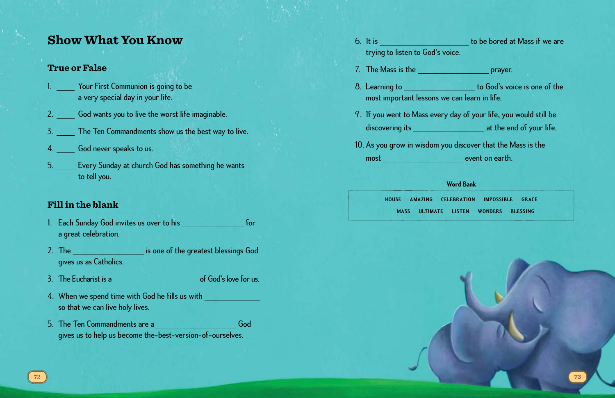#### **Show What You Know**

#### **True or False**

- Your First Communion is going to be a very special day in your life.
- 2. Cod wants you to live the worst life imaginable.
- 3. The Ten Commandments show us the best way to live.
- 4. God never speaks to us.
- 5. Every Sunday at church God has something he wants to tell you.

#### **Fill in the blank**

- 1. Each Sunday God invites us over to his **Form Container and Struth Term** for a great celebration.
- 2. The **interest of the greatest blessings God** gives us as Catholics.
- 3. The Eucharist is a service of God's love for us.
- 4. When we spend time with God he fills us with so that we can live holy lives.
- 5. The Ten Commandments are a God gives us to help us become the-best-version-of-ourselves.
- 6. It is to be bored at Mass if we are trying to listen to God's voice. 7. The Mass is the prayer.
- most important lessons we can learn in life.
- 
- 10. As you grow in wisdom you discover that the Mass is the most event on earth.

**HOUSE AMAZING CELE MASS ULTIMATE** 

8. Learning to **to God's voice is one of the** 

9. If you went to Mass every day of your life, you would still be discovering its \_\_\_\_\_\_\_\_\_\_\_\_\_\_\_\_\_\_\_\_\_\_\_ at the end of your life.

**Word Bank**

| EBRATION | <b>IMPOSSIBLE</b> | <b>GRACE</b>    |  |
|----------|-------------------|-----------------|--|
| LISTEN   | WONDERS           | <b>BLESSING</b> |  |

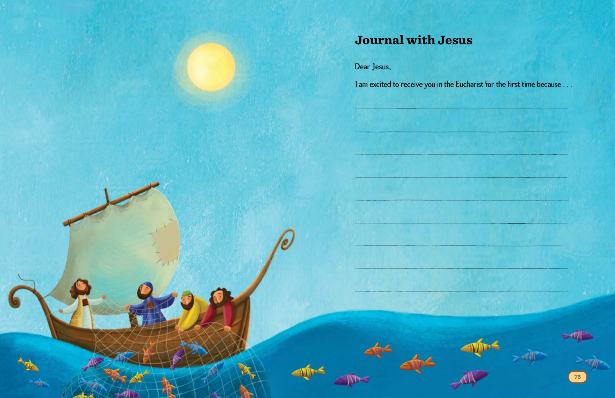## **Journal with Jesus**

Dear Jesus,

I am excited to receive you in the Eucharist for the first time because . . .







**75**